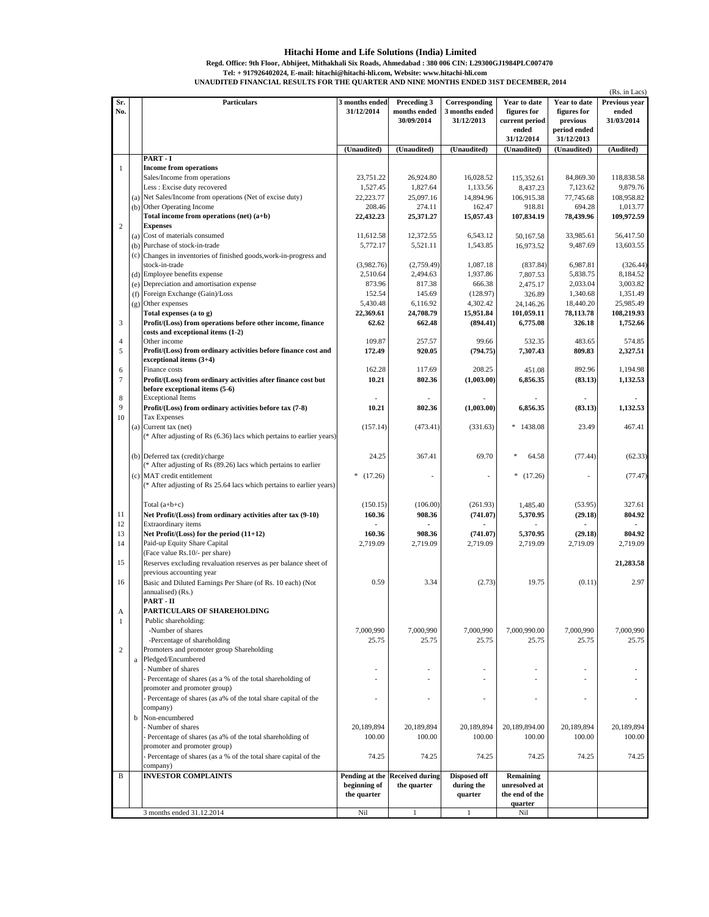## **Hitachi Home and Life Solutions (India) Limited**

**Tel: + 917926402024, E-mail: hitachi@hitachi-hli.com, Website: www.hitachi-hli.com Regd. Office: 9th Floor, Abhijeet, Mithakhali Six Roads, Ahmedabad : 380 006 CIN: L29300GJ1984PLC007470** 

**UNAUDITED FINANCIAL RESULTS FOR THE QUARTER AND NINE MONTHS ENDED 31ST DECEMBER, 2014**

|                |          |                                                                                                 |                              |                                               |                                 |                             |                             | (Rs. in Lacs)          |
|----------------|----------|-------------------------------------------------------------------------------------------------|------------------------------|-----------------------------------------------|---------------------------------|-----------------------------|-----------------------------|------------------------|
| Sr.<br>No.     |          | <b>Particulars</b>                                                                              | 3 months ended<br>31/12/2014 | Preceding 3<br>months ended                   | Corresponding<br>3 months ended | Year to date<br>figures for | Year to date<br>figures for | Previous year<br>ended |
|                |          |                                                                                                 |                              | 30/09/2014                                    | 31/12/2013                      | current period<br>ended     | previous<br>period ended    | 31/03/2014             |
|                |          |                                                                                                 |                              |                                               |                                 | 31/12/2014                  | 31/12/2013                  |                        |
|                |          | PART-I                                                                                          | (Unaudited)                  | (Unaudited)                                   | (Unaudited)                     | (Unaudited)                 | (Unaudited)                 | (Audited)              |
| $\mathbf{1}$   |          | <b>Income from operations</b>                                                                   |                              |                                               |                                 |                             |                             |                        |
|                |          | Sales/Income from operations                                                                    | 23,751.22                    | 26,924.80                                     | 16,028.52                       | 115,352.61                  | 84,869.30                   | 118,838.58             |
|                |          | Less : Excise duty recovered                                                                    | 1,527.45                     | 1,827.64                                      | 1,133.56                        | 8,437.23                    | 7,123.62                    | 9,879.76               |
|                |          | (a) Net Sales/Income from operations (Net of excise duty)                                       | 22,223.77                    | 25,097.16                                     | 14,894.96                       | 106,915.38                  | 77,745.68                   | 108,958.82             |
|                |          | (b) Other Operating Income                                                                      | 208.46                       | 274.11                                        | 162.47                          | 918.81                      | 694.28                      | 1,013.77               |
| $\overline{c}$ |          | Total income from operations (net) (a+b)<br><b>Expenses</b>                                     | 22,432.23                    | 25,371.27                                     | 15,057.43                       | 107,834.19                  | 78,439.96                   | 109,972.59             |
|                |          | (a) Cost of materials consumed                                                                  | 11,612.58                    | 12,372.55                                     | 6,543.12                        | 50,167.58                   | 33,985.61                   | 56,417.50              |
|                |          | (b) Purchase of stock-in-trade                                                                  | 5,772.17                     | 5,521.11                                      | 1,543.85                        | 16,973.52                   | 9,487.69                    | 13,603.55              |
|                |          | (c) Changes in inventories of finished goods, work-in-progress and                              |                              |                                               |                                 |                             |                             |                        |
|                |          | stock-in-trade                                                                                  | (3,982.76)                   | (2,759.49)                                    | 1,087.18                        | (837.84)                    | 6,987.81                    | (326.44)               |
|                |          | (d) Employee benefits expense                                                                   | 2,510.64                     | 2,494.63                                      | 1,937.86                        | 7,807.53                    | 5,838.75                    | 8,184.52               |
|                |          | (e) Depreciation and amortisation expense                                                       | 873.96                       | 817.38                                        | 666.38                          | 2,475.17                    | 2,033.04                    | 3,003.82               |
|                |          | (f) Foreign Exchange (Gain)/Loss<br>(g) Other expenses                                          | 152.54<br>5,430.48           | 145.69<br>6,116.92                            | (128.97)<br>4,302.42            | 326.89<br>24,146.26         | 1,340.68<br>18,440.20       | 1,351.49<br>25,985.49  |
|                |          | Total expenses (a to g)                                                                         | 22,369.61                    | 24,708.79                                     | 15,951.84                       | 101,059.11                  | 78,113.78                   | 108,219.93             |
| $\mathfrak{Z}$ |          | Profit/(Loss) from operations before other income, finance                                      | 62.62                        | 662.48                                        | (894.41)                        | 6,775.08                    | 326.18                      | 1,752.66               |
|                |          | costs and exceptional items (1-2)                                                               |                              |                                               |                                 |                             |                             |                        |
| $\overline{4}$ |          | Other income                                                                                    | 109.87                       | 257.57                                        | 99.66                           | 532.35                      | 483.65                      | 574.85                 |
| 5              |          | Profit/(Loss) from ordinary activities before finance cost and                                  | 172.49                       | 920.05                                        | (794.75)                        | 7,307.43                    | 809.83                      | 2,327.51               |
|                |          | exceptional items (3+4)<br>Finance costs                                                        | 162.28                       | 117.69                                        | 208.25                          | 451.08                      | 892.96                      | 1,194.98               |
| 6<br>7         |          | Profit/(Loss) from ordinary activities after finance cost but                                   | 10.21                        | 802.36                                        | (1,003.00)                      | 6,856.35                    | (83.13)                     | 1,132.53               |
|                |          | before exceptional items (5-6)                                                                  |                              |                                               |                                 |                             |                             |                        |
| 8              |          | <b>Exceptional Items</b>                                                                        |                              |                                               |                                 |                             |                             |                        |
| 9              |          | Profit/(Loss) from ordinary activities before tax (7-8)                                         | 10.21                        | 802.36                                        | (1,003.00)                      | 6,856.35                    | (83.13)                     | 1,132.53               |
| 10             |          | Tax Expenses                                                                                    |                              |                                               |                                 |                             |                             |                        |
|                |          | (a) Current tax (net)                                                                           | (157.14)                     | (473.41)                                      | (331.63)                        | $*1438.08$                  | 23.49                       | 467.41                 |
|                |          | (* After adjusting of Rs (6.36) lacs which pertains to earlier years)                           |                              |                                               |                                 |                             |                             |                        |
|                |          | (b) Deferred tax (credit)/charge                                                                | 24.25                        | 367.41                                        | 69.70                           | \$<br>64.58                 | (77.44)                     | (62.33)                |
|                |          | (* After adjusting of Rs (89.26) lacs which pertains to earlier                                 |                              |                                               |                                 |                             |                             |                        |
|                |          | (c) MAT credit entitlement                                                                      | *<br>(17.26)                 |                                               |                                 | $*(17.26)$                  |                             | (77.47)                |
|                |          | (* After adjusting of Rs 25.64 lacs which pertains to earlier years)                            |                              |                                               |                                 |                             |                             |                        |
|                |          |                                                                                                 |                              |                                               |                                 |                             |                             |                        |
|                |          | Total $(a+b+c)$                                                                                 | (150.15)                     | (106.00)                                      | (261.93)                        | 1,485.40                    | (53.95)                     | 327.61                 |
| 11<br>12       |          | Net Profit/(Loss) from ordinary activities after tax (9-10)<br>Extraordinary items              | 160.36                       | 908.36                                        | (741.07)                        | 5,370.95                    | (29.18)                     | 804.92                 |
| 13             |          | Net Profit/(Loss) for the period (11+12)                                                        | 160.36                       | 908.36                                        | (741.07)                        | 5,370.95                    | (29.18)                     | 804.92                 |
| 14             |          | Paid-up Equity Share Capital                                                                    | 2,719.09                     | 2,719.09                                      | 2,719.09                        | 2,719.09                    | 2,719.09                    | 2,719.09               |
|                |          | (Face value Rs.10/- per share)                                                                  |                              |                                               |                                 |                             |                             |                        |
| 15             |          | Reserves excluding revaluation reserves as per balance sheet of                                 |                              |                                               |                                 |                             |                             | 21,283.58              |
|                |          | previous accounting year                                                                        |                              |                                               |                                 |                             |                             |                        |
| 16             |          | Basic and Diluted Earnings Per Share (of Rs. 10 each) (Not                                      | 0.59                         | 3.34                                          | (2.73)                          | 19.75                       | (0.11)                      | 2.97                   |
|                |          | annualised) (Rs.)                                                                               |                              |                                               |                                 |                             |                             |                        |
| А              |          | PART - II<br>PARTICULARS OF SHAREHOLDING                                                        |                              |                                               |                                 |                             |                             |                        |
| $\mathbf{1}$   |          | Public shareholding:                                                                            |                              |                                               |                                 |                             |                             |                        |
|                |          | -Number of shares                                                                               | 7,000,990                    | 7,000,990                                     | 7,000,990                       | 7,000,990.00                | 7,000,990                   | 7,000,990              |
|                |          | -Percentage of shareholding                                                                     | 25.75                        | 25.75                                         | 25.75                           | 25.75                       | 25.75                       | 25.75                  |
| $\sqrt{2}$     |          | Promoters and promoter group Shareholding                                                       |                              |                                               |                                 |                             |                             |                        |
|                | $\rm{a}$ | Pledged/Encumbered                                                                              |                              |                                               |                                 |                             |                             |                        |
|                |          | - Number of shares                                                                              |                              |                                               |                                 |                             |                             |                        |
|                |          | Percentage of shares (as a % of the total shareholding of                                       |                              |                                               |                                 |                             |                             |                        |
|                |          | promoter and promoter group)<br>- Percentage of shares (as a% of the total share capital of the |                              |                                               | $\overline{\phantom{a}}$        | ÷,                          | ÷,                          |                        |
|                |          | company)                                                                                        |                              |                                               |                                 |                             |                             |                        |
|                | b        | Non-encumbered                                                                                  |                              |                                               |                                 |                             |                             |                        |
|                |          | - Number of shares                                                                              | 20,189,894                   | 20,189,894                                    | 20,189,894                      | 20.189.894.00               | 20.189.894                  | 20,189,894             |
|                |          | Percentage of shares (as a% of the total shareholding of                                        | 100.00                       | 100.00                                        | 100.00                          | 100.00                      | 100.00                      | 100.00                 |
|                |          | promoter and promoter group)                                                                    |                              |                                               |                                 |                             |                             |                        |
|                |          | Percentage of shares (as a % of the total share capital of the                                  | 74.25                        | 74.25                                         | 74.25                           | 74.25                       | 74.25                       | 74.25                  |
|                |          | company)                                                                                        |                              |                                               |                                 |                             |                             |                        |
| B              |          | <b>INVESTOR COMPLAINTS</b>                                                                      | beginning of                 | Pending at the Received during<br>the quarter | Disposed off<br>during the      | Remaining<br>unresolved at  |                             |                        |
|                |          |                                                                                                 | the quarter                  |                                               | quarter                         | the end of the              |                             |                        |
|                |          |                                                                                                 |                              |                                               |                                 | quarter                     |                             |                        |
|                |          | 3 months ended 31.12.2014                                                                       | Nil                          | $\mathbf{1}$                                  | $\mathbf{1}$                    | Nil                         |                             |                        |